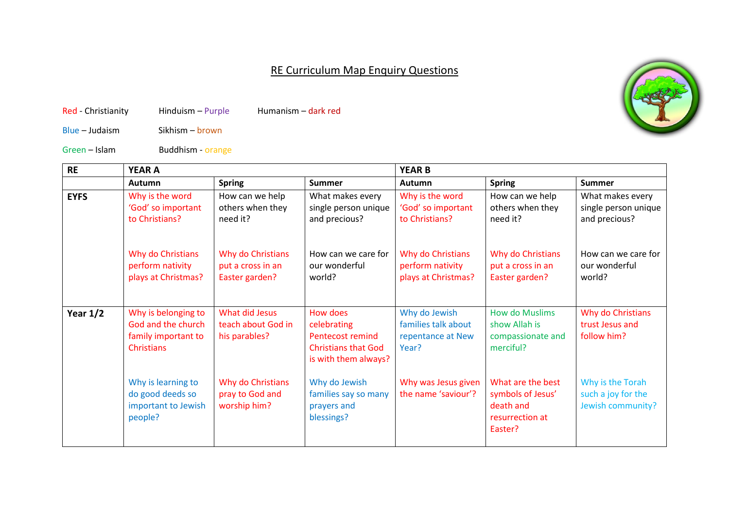## RE Curriculum Map Enquiry Questions

Red - Christianity Hinduism – Purple Humanism – dark red

Blue – Judaism Sikhism – brown

Green – Islam Buddhism - orange

| <b>RE</b>   | <b>YEAR A</b>                                                                         |                                                          |                                                                                                   | <b>YEAR B</b>                                                      |                                                                                   |                                                             |
|-------------|---------------------------------------------------------------------------------------|----------------------------------------------------------|---------------------------------------------------------------------------------------------------|--------------------------------------------------------------------|-----------------------------------------------------------------------------------|-------------------------------------------------------------|
|             | Autumn                                                                                | <b>Spring</b>                                            | <b>Summer</b>                                                                                     | Autumn                                                             | <b>Spring</b>                                                                     | <b>Summer</b>                                               |
| <b>EYFS</b> | Why is the word<br>'God' so important<br>to Christians?                               | How can we help<br>others when they<br>need it?          | What makes every<br>single person unique<br>and precious?                                         | Why is the word<br>'God' so important<br>to Christians?            | How can we help<br>others when they<br>need it?                                   | What makes every<br>single person unique<br>and precious?   |
|             | Why do Christians<br>perform nativity<br>plays at Christmas?                          | Why do Christians<br>put a cross in an<br>Easter garden? | How can we care for<br>our wonderful<br>world?                                                    | Why do Christians<br>perform nativity<br>plays at Christmas?       | Why do Christians<br>put a cross in an<br>Easter garden?                          | How can we care for<br>our wonderful<br>world?              |
| Year $1/2$  | Why is belonging to<br>God and the church<br>family important to<br><b>Christians</b> | What did Jesus<br>teach about God in<br>his parables?    | How does<br>celebrating<br>Pentecost remind<br><b>Christians that God</b><br>is with them always? | Why do Jewish<br>families talk about<br>repentance at New<br>Year? | <b>How do Muslims</b><br>show Allah is<br>compassionate and<br>merciful?          | Why do Christians<br>trust Jesus and<br>follow him?         |
|             | Why is learning to<br>do good deeds so<br>important to Jewish<br>people?              | Why do Christians<br>pray to God and<br>worship him?     | Why do Jewish<br>families say so many<br>prayers and<br>blessings?                                | Why was Jesus given<br>the name 'saviour'?                         | What are the best<br>symbols of Jesus'<br>death and<br>resurrection at<br>Easter? | Why is the Torah<br>such a joy for the<br>Jewish community? |